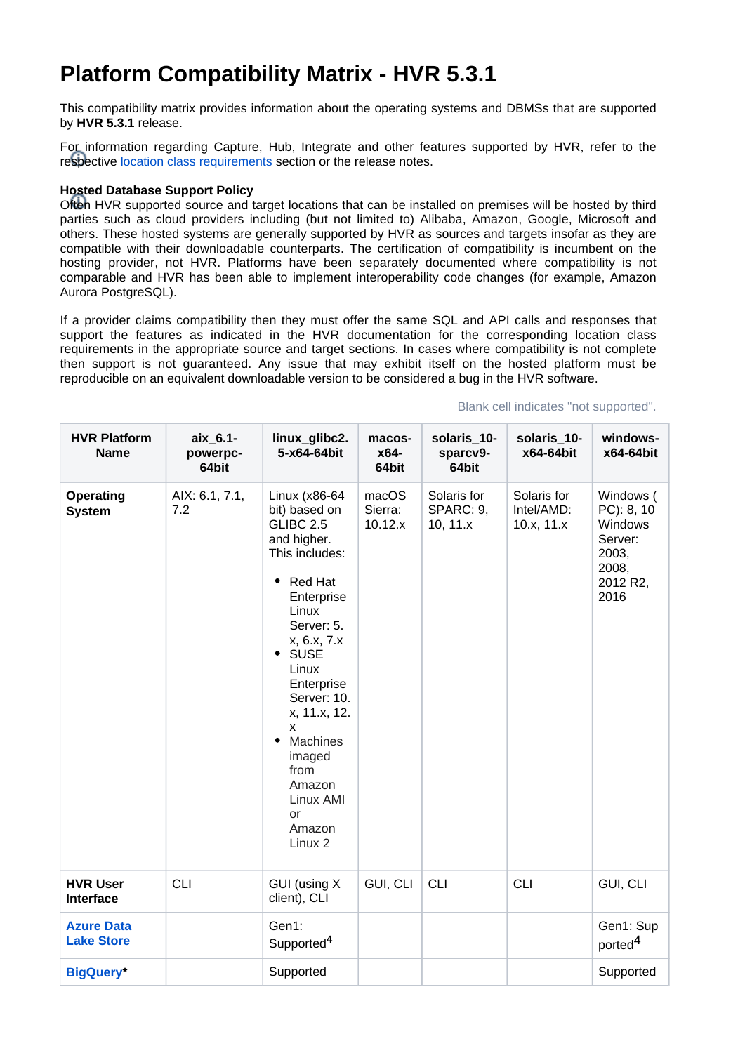## **Platform Compatibility Matrix - HVR 5.3.1**

This compatibility matrix provides information about the operating systems and DBMSs that are supported by **HVR 5.3.1** release.

For information regarding Capture, Hub, Integrate and other features supported by HVR, refer to the respective [location class requirements](https://www.hvr-software.com/docs/display/HVR5/Location+Class+Requirements) section or the release notes.

## **Hosted Database Support Policy**

Often HVR supported source and target locations that can be installed on premises will be hosted by third parties such as cloud providers including (but not limited to) Alibaba, Amazon, Google, Microsoft and others. These hosted systems are generally supported by HVR as sources and targets insofar as they are compatible with their downloadable counterparts. The certification of compatibility is incumbent on the hosting provider, not HVR. Platforms have been separately documented where compatibility is not comparable and HVR has been able to implement interoperability code changes (for example, Amazon Aurora PostgreSQL).

If a provider claims compatibility then they must offer the same SQL and API calls and responses that support the features as indicated in the HVR documentation for the corresponding location class requirements in the appropriate source and target sections. In cases where compatibility is not complete then support is not guaranteed. Any issue that may exhibit itself on the hosted platform must be reproducible on an equivalent downloadable version to be considered a bug in the HVR software.

| <b>HVR Platform</b><br><b>Name</b>     | aix_6.1-<br>powerpc-<br>64bit | linux_glibc2.<br>5-x64-64bit                                                                                                                                                                                                                                                                                              | macos-<br>x64-<br>64bit     | solaris_10-<br>sparcv9-<br>64bit       | solaris_10-<br>x64-64bit                | windows-<br>x64-64bit                                                               |
|----------------------------------------|-------------------------------|---------------------------------------------------------------------------------------------------------------------------------------------------------------------------------------------------------------------------------------------------------------------------------------------------------------------------|-----------------------------|----------------------------------------|-----------------------------------------|-------------------------------------------------------------------------------------|
| <b>Operating</b><br><b>System</b>      | AIX: 6.1, 7.1,<br>7.2         | Linux (x86-64<br>bit) based on<br>GLIBC 2.5<br>and higher.<br>This includes:<br><b>Red Hat</b><br>٠<br>Enterprise<br>Linux<br>Server: 5.<br>x, 6.x, 7.x<br>• SUSE<br>Linux<br>Enterprise<br>Server: 10.<br>x, 11.x, 12.<br>X<br>Machines<br>$\bullet$<br>imaged<br>from<br>Amazon<br>Linux AMI<br>or<br>Amazon<br>Linux 2 | macOS<br>Sierra:<br>10.12.x | Solaris for<br>SPARC: 9,<br>10, $11.x$ | Solaris for<br>Intel/AMD:<br>10.x, 11.x | Windows (<br>PC): 8, 10<br>Windows<br>Server:<br>2003,<br>2008,<br>2012 R2,<br>2016 |
| <b>HVR User</b><br><b>Interface</b>    | <b>CLI</b>                    | GUI (using X<br>client), CLI                                                                                                                                                                                                                                                                                              | GUI, CLI                    | <b>CLI</b>                             | <b>CLI</b>                              | GUI, CLI                                                                            |
| <b>Azure Data</b><br><b>Lake Store</b> |                               | Gen1:<br>Supported <sup>4</sup>                                                                                                                                                                                                                                                                                           |                             |                                        |                                         | Gen1: Sup<br>ported <sup>4</sup>                                                    |
| <b>BigQuery*</b>                       |                               | Supported                                                                                                                                                                                                                                                                                                                 |                             |                                        |                                         | Supported                                                                           |

## Blank cell indicates "not supported".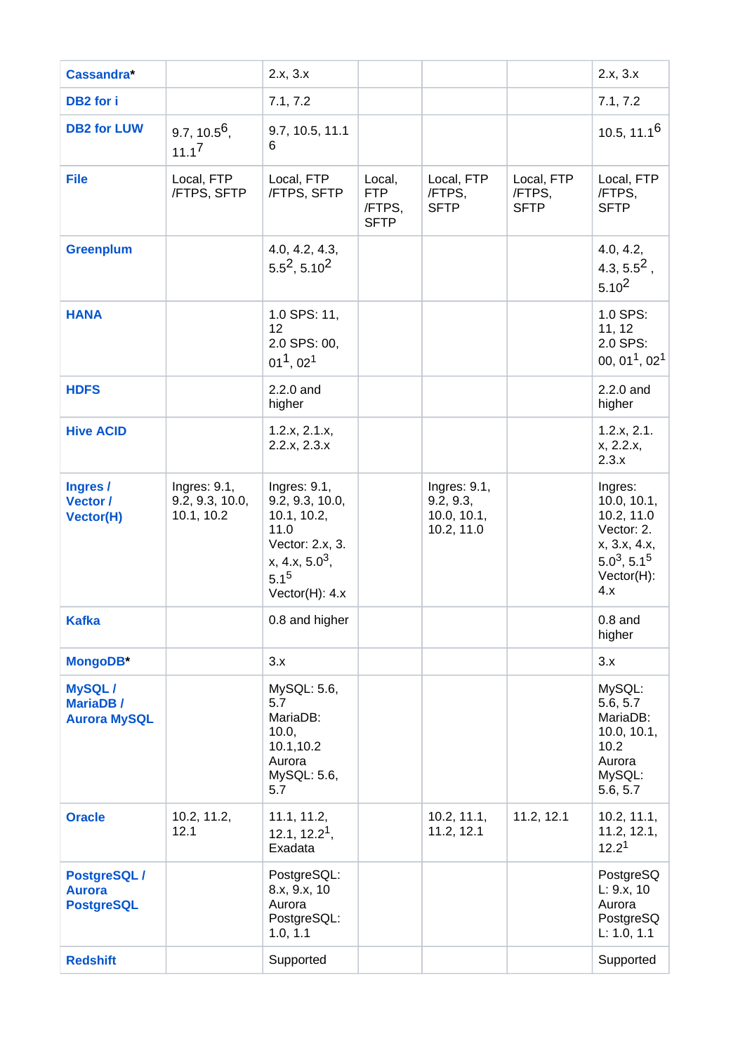| <b>Cassandra*</b>                                 |                                               | 2.x, 3.x                                                                                                                            |                                               |                                                        |                                     | 2.x, 3.x                                                                                                     |
|---------------------------------------------------|-----------------------------------------------|-------------------------------------------------------------------------------------------------------------------------------------|-----------------------------------------------|--------------------------------------------------------|-------------------------------------|--------------------------------------------------------------------------------------------------------------|
| DB <sub>2</sub> for i                             |                                               | 7.1, 7.2                                                                                                                            |                                               |                                                        |                                     | 7.1, 7.2                                                                                                     |
| <b>DB2 for LUW</b>                                | 9.7, 10.5 <sup>6</sup> ,<br>$11.1^7$          | 9.7, 10.5, 11.1<br>6                                                                                                                |                                               |                                                        |                                     | 10.5, $11.16$                                                                                                |
| <b>File</b>                                       | Local, FTP<br>/FTPS, SFTP                     | Local, FTP<br>/FTPS, SFTP                                                                                                           | Local,<br><b>FTP</b><br>/FTPS,<br><b>SFTP</b> | Local, FTP<br>/FTPS,<br><b>SFTP</b>                    | Local, FTP<br>/FTPS,<br><b>SFTP</b> | Local, FTP<br>/FTPS,<br><b>SFTP</b>                                                                          |
| <b>Greenplum</b>                                  |                                               | 4.0, 4.2, 4.3,<br>$5.5^2$ , $5.10^2$                                                                                                |                                               |                                                        |                                     | 4.0, 4.2,<br>4.3, $5.5^2$ ,<br>$5.10^{2}$                                                                    |
| <b>HANA</b>                                       |                                               | 1.0 SPS: 11,<br>12<br>2.0 SPS: 00,<br>$01^1$ , $02^1$                                                                               |                                               |                                                        |                                     | 1.0 SPS:<br>11, 12<br>2.0 SPS:<br>00, 01 <sup>1</sup> , 02 <sup>1</sup>                                      |
| <b>HDFS</b>                                       |                                               | 2.2.0 and<br>higher                                                                                                                 |                                               |                                                        |                                     | 2.2.0 and<br>higher                                                                                          |
| <b>Hive ACID</b>                                  |                                               | 1.2.x, 2.1.x,<br>2.2.x, 2.3.x                                                                                                       |                                               |                                                        |                                     | 1.2.x, 2.1.<br>x, 2.2.x,<br>2.3.x                                                                            |
| Ingres /<br>Vector /<br><b>Vector(H)</b>          | Ingres: 9.1,<br>9.2, 9.3, 10.0,<br>10.1, 10.2 | Ingres: $9.1$ ,<br>9.2, 9.3, 10.0,<br>10.1, 10.2,<br>11.0<br>Vector: 2.x, 3.<br>$x, 4.x, 5.0^3,$<br>$5.1^{5}$<br>Vector $(H)$ : 4.x |                                               | Ingres: 9.1,<br>9.2, 9.3,<br>10.0, 10.1,<br>10.2, 11.0 |                                     | Ingres:<br>10.0, 10.1,<br>10.2, 11.0<br>Vector: 2.<br>x, 3.x, 4.x,<br>$5.0^3, 5.1^5$<br>$Vector(H)$ :<br>4.x |
| <b>Kafka</b>                                      |                                               | 0.8 and higher                                                                                                                      |                                               |                                                        |                                     | $0.8$ and<br>higher                                                                                          |
| MongoDB*                                          |                                               | 3.x                                                                                                                                 |                                               |                                                        |                                     | 3.x                                                                                                          |
| MySQL/<br><b>MariaDB/</b><br><b>Aurora MySQL</b>  |                                               | MySQL: 5.6,<br>5.7<br>MariaDB:<br>10.0,<br>10.1,10.2<br>Aurora<br>MySQL: 5.6,<br>5.7                                                |                                               |                                                        |                                     | MySQL:<br>5.6, 5.7<br>MariaDB:<br>10.0, 10.1,<br>10.2<br>Aurora<br>MySQL:<br>5.6, 5.7                        |
| <b>Oracle</b>                                     | 10.2, 11.2,<br>12.1                           | 11.1, 11.2,<br>12.1, $12.21$ ,<br>Exadata                                                                                           |                                               | 10.2, 11.1,<br>11.2, 12.1                              | 11.2, 12.1                          | 10.2, 11.1,<br>11.2, 12.1,<br>12.2 <sup>1</sup>                                                              |
| PostgreSQL/<br><b>Aurora</b><br><b>PostgreSQL</b> |                                               | PostgreSQL:<br>8.x, 9.x, 10<br>Aurora<br>PostgreSQL:<br>1.0, 1.1                                                                    |                                               |                                                        |                                     | PostgreSQ<br>L: 9.x, 10<br>Aurora<br>PostgreSQ<br>L: 1.0, 1.1                                                |
| <b>Redshift</b>                                   |                                               | Supported                                                                                                                           |                                               |                                                        |                                     | Supported                                                                                                    |